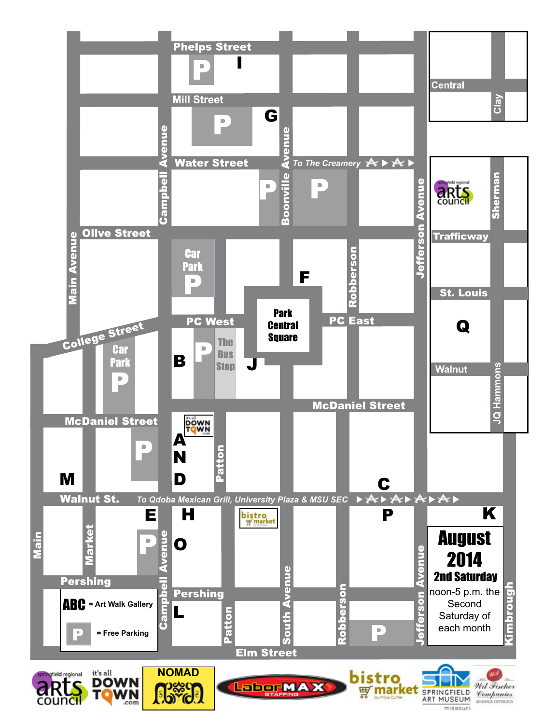